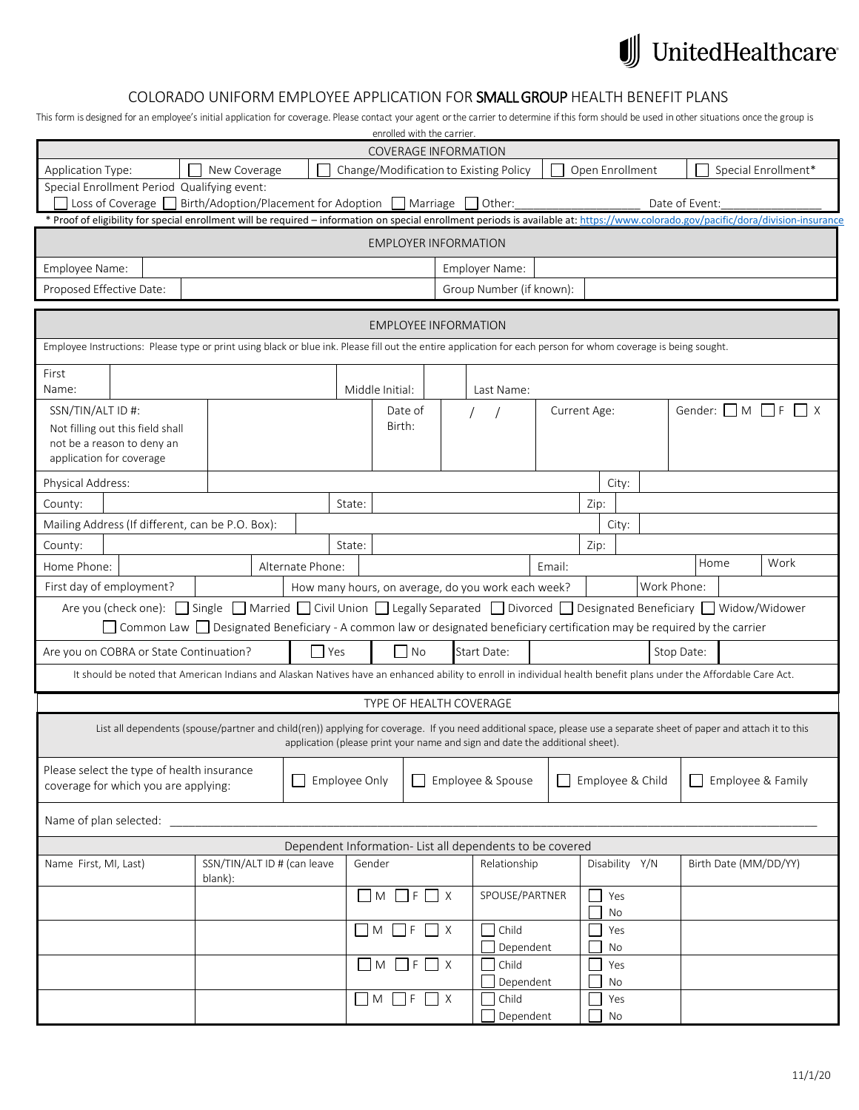## $\textcolor{red}{\textbf{1}\parallel}$  United<br>Healthcare

## COLORADO UNIFORM EMPLOYEE APPLICATION FOR SMALL GROUP HEALTH BENEFIT PLANS

This form is designed for an employee's initial application for coverage. Please contact your agent or the carrier to determine if this form should be used in other situations once the group is

|                          |                                                                                                                                                                     |                                                                                                                                |                  |          | enrolled with the carrier.<br><b>COVERAGE INFORMATION</b> |          |                                                                              |        |              |                  |                |                       |                                                                                                                                                                                      |
|--------------------------|---------------------------------------------------------------------------------------------------------------------------------------------------------------------|--------------------------------------------------------------------------------------------------------------------------------|------------------|----------|-----------------------------------------------------------|----------|------------------------------------------------------------------------------|--------|--------------|------------------|----------------|-----------------------|--------------------------------------------------------------------------------------------------------------------------------------------------------------------------------------|
| Application Type:        |                                                                                                                                                                     | New Coverage                                                                                                                   |                  |          |                                                           |          | Change/Modification to Existing Policy                                       |        |              | Open Enrollment  |                |                       | Special Enrollment*                                                                                                                                                                  |
|                          | Special Enrollment Period Qualifying event:                                                                                                                         |                                                                                                                                |                  |          |                                                           |          |                                                                              |        |              |                  |                |                       |                                                                                                                                                                                      |
|                          | $\Box$ Loss of Coverage $\Box$ Birth/Adoption/Placement for Adoption $\Box$ Marriage                                                                                |                                                                                                                                |                  |          |                                                           |          | Other:                                                                       |        |              |                  | Date of Event: |                       |                                                                                                                                                                                      |
|                          |                                                                                                                                                                     |                                                                                                                                |                  |          |                                                           |          |                                                                              |        |              |                  |                |                       | * Proof of eligibility for special enrollment will be required - information on special enrollment periods is available at: https://www.colorado.gov/pacific/dora/division-insurance |
|                          |                                                                                                                                                                     |                                                                                                                                |                  |          | <b>EMPLOYER INFORMATION</b>                               |          |                                                                              |        |              |                  |                |                       |                                                                                                                                                                                      |
| Employee Name:           |                                                                                                                                                                     |                                                                                                                                |                  |          |                                                           |          | Employer Name:                                                               |        |              |                  |                |                       |                                                                                                                                                                                      |
| Proposed Effective Date: |                                                                                                                                                                     |                                                                                                                                |                  |          |                                                           |          | Group Number (if known):                                                     |        |              |                  |                |                       |                                                                                                                                                                                      |
|                          |                                                                                                                                                                     |                                                                                                                                |                  |          | <b>EMPLOYEE INFORMATION</b>                               |          |                                                                              |        |              |                  |                |                       |                                                                                                                                                                                      |
|                          | Employee Instructions: Please type or print using black or blue ink. Please fill out the entire application for each person for whom coverage is being sought.      |                                                                                                                                |                  |          |                                                           |          |                                                                              |        |              |                  |                |                       |                                                                                                                                                                                      |
| First                    |                                                                                                                                                                     |                                                                                                                                |                  |          |                                                           |          |                                                                              |        |              |                  |                |                       |                                                                                                                                                                                      |
| Name:                    |                                                                                                                                                                     |                                                                                                                                |                  |          | Middle Initial:                                           |          | Last Name:                                                                   |        |              |                  |                |                       |                                                                                                                                                                                      |
| SSN/TIN/ALT ID #:        | Not filling out this field shall                                                                                                                                    |                                                                                                                                |                  |          | Date of<br>Birth:                                         |          |                                                                              |        | Current Age: |                  |                | Gender: $\Box$ M      | $  \cdot  $ F<br>$\mathsf{I} \times$                                                                                                                                                 |
| application for coverage | not be a reason to deny an                                                                                                                                          |                                                                                                                                |                  |          |                                                           |          |                                                                              |        |              |                  |                |                       |                                                                                                                                                                                      |
| Physical Address:        |                                                                                                                                                                     |                                                                                                                                |                  |          |                                                           |          |                                                                              |        |              | City:            |                |                       |                                                                                                                                                                                      |
| County:                  |                                                                                                                                                                     |                                                                                                                                |                  | State:   |                                                           |          |                                                                              |        | Zip:         |                  |                |                       |                                                                                                                                                                                      |
|                          | Mailing Address (If different, can be P.O. Box):                                                                                                                    |                                                                                                                                |                  |          |                                                           |          |                                                                              |        |              | City:            |                |                       |                                                                                                                                                                                      |
| County:                  |                                                                                                                                                                     |                                                                                                                                |                  | State:   |                                                           |          |                                                                              |        | Zip:         |                  |                |                       |                                                                                                                                                                                      |
| Home Phone:              |                                                                                                                                                                     |                                                                                                                                | Alternate Phone: |          |                                                           |          |                                                                              | Email: |              |                  |                | Home                  | Work                                                                                                                                                                                 |
| First day of employment? |                                                                                                                                                                     |                                                                                                                                |                  |          |                                                           |          | How many hours, on average, do you work each week?                           |        |              |                  | Work Phone:    |                       |                                                                                                                                                                                      |
|                          | Are you (check one): Single Married Civil Union Legally Separated Divorced Designated Beneficiary Nidow/Widower                                                     |                                                                                                                                |                  |          |                                                           |          |                                                                              |        |              |                  |                |                       |                                                                                                                                                                                      |
|                          |                                                                                                                                                                     | Common Law $\Box$ Designated Beneficiary - A common law or designated beneficiary certification may be required by the carrier |                  |          |                                                           |          |                                                                              |        |              |                  |                |                       |                                                                                                                                                                                      |
|                          | Are you on COBRA or State Continuation?                                                                                                                             |                                                                                                                                | l Yes            |          | No                                                        |          | Start Date:                                                                  |        |              |                  | Stop Date:     |                       |                                                                                                                                                                                      |
|                          | It should be noted that American Indians and Alaskan Natives have an enhanced ability to enroll in individual health benefit plans under the Affordable Care Act.   |                                                                                                                                |                  |          |                                                           |          |                                                                              |        |              |                  |                |                       |                                                                                                                                                                                      |
|                          |                                                                                                                                                                     |                                                                                                                                |                  |          | TYPE OF HEALTH COVERAGE                                   |          |                                                                              |        |              |                  |                |                       |                                                                                                                                                                                      |
|                          | List all dependents (spouse/partner and child(ren)) applying for coverage. If you need additional space, please use a separate sheet of paper and attach it to this |                                                                                                                                |                  |          |                                                           |          | application (please print your name and sign and date the additional sheet). |        |              |                  |                |                       |                                                                                                                                                                                      |
|                          | Please select the type of health insurance<br>coverage for which you are applying:                                                                                  |                                                                                                                                | Employee Only    |          | $\mathbf{I}$                                              |          | Employee & Spouse                                                            |        |              | Employee & Child |                |                       | Employee & Family                                                                                                                                                                    |
|                          |                                                                                                                                                                     |                                                                                                                                |                  |          |                                                           |          |                                                                              |        |              |                  |                |                       |                                                                                                                                                                                      |
| Name of plan selected:   |                                                                                                                                                                     |                                                                                                                                |                  |          |                                                           |          |                                                                              |        |              |                  |                |                       |                                                                                                                                                                                      |
| Name First, MI, Last)    |                                                                                                                                                                     | SSN/TIN/ALT ID # (can leave                                                                                                    |                  | Gender   |                                                           |          | Dependent Information-List all dependents to be covered<br>Relationship      |        |              | Disability Y/N   |                | Birth Date (MM/DD/YY) |                                                                                                                                                                                      |
|                          |                                                                                                                                                                     | blank):                                                                                                                        |                  |          |                                                           |          |                                                                              |        |              |                  |                |                       |                                                                                                                                                                                      |
|                          |                                                                                                                                                                     |                                                                                                                                |                  |          | $\Box M \Box F \Box X$                                    |          | SPOUSE/PARTNER                                                               |        |              | Yes<br>No        |                |                       |                                                                                                                                                                                      |
|                          |                                                                                                                                                                     |                                                                                                                                |                  | $\Box$ M | - IF                                                      | $\Box$ x | Child<br>Dependent                                                           |        |              | Yes<br>No        |                |                       |                                                                                                                                                                                      |
|                          |                                                                                                                                                                     |                                                                                                                                |                  |          | $M \mid F$                                                | $\Box$ X | Child                                                                        |        |              | Yes              |                |                       |                                                                                                                                                                                      |
|                          |                                                                                                                                                                     |                                                                                                                                |                  |          | $\Box$ M $\Box$ F                                         | $\Box$ X | Dependent<br>Child                                                           |        |              | No<br>Yes        |                |                       |                                                                                                                                                                                      |
|                          |                                                                                                                                                                     |                                                                                                                                |                  |          |                                                           |          | Dependent                                                                    |        |              | No               |                |                       |                                                                                                                                                                                      |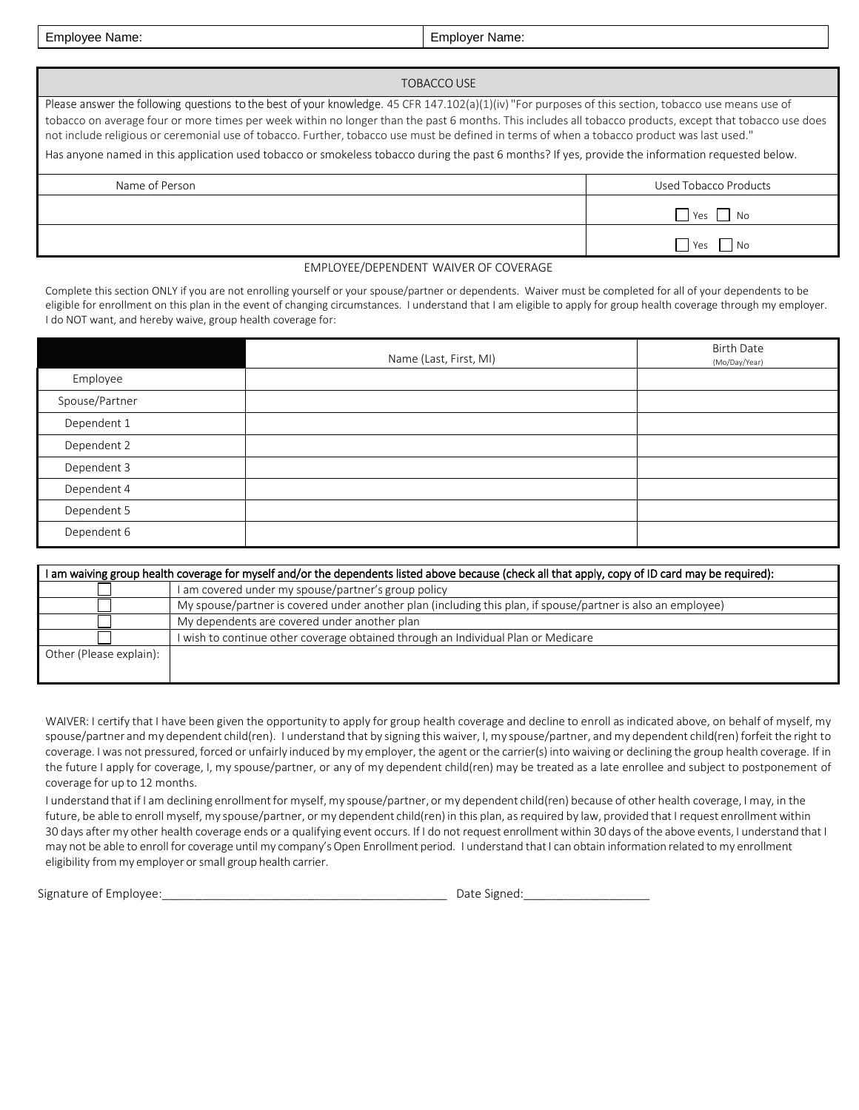Employee Name: Employer Name:

| TOBACCO USE                                                                                                                                                                                                                                                                                                                                                                                                                                                                                                                                                                                                           |                           |
|-----------------------------------------------------------------------------------------------------------------------------------------------------------------------------------------------------------------------------------------------------------------------------------------------------------------------------------------------------------------------------------------------------------------------------------------------------------------------------------------------------------------------------------------------------------------------------------------------------------------------|---------------------------|
| Please answer the following questions to the best of your knowledge. 45 CFR 147.102(a)(1)(iv) "For purposes of this section, tobacco use means use of<br>tobacco on average four or more times per week within no longer than the past 6 months. This includes all tobacco products, except that tobacco use does<br>not include religious or ceremonial use of tobacco. Further, tobacco use must be defined in terms of when a tobacco product was last used."<br>Has anyone named in this application used tobacco or smokeless tobacco during the past 6 months? If yes, provide the information requested below. |                           |
| Name of Person                                                                                                                                                                                                                                                                                                                                                                                                                                                                                                                                                                                                        | Used Tobacco Products     |
|                                                                                                                                                                                                                                                                                                                                                                                                                                                                                                                                                                                                                       | $ $ Yes<br>N <sub>O</sub> |
|                                                                                                                                                                                                                                                                                                                                                                                                                                                                                                                                                                                                                       | <b>No</b><br>Yes          |
| EMPLOYEE/DEPENDENT WAIVER OF COVERAGE                                                                                                                                                                                                                                                                                                                                                                                                                                                                                                                                                                                 |                           |

## EMPLOYEE/DEPENDENT WAIVER OF COVERAGE

Complete this section ONLY if you are not enrolling yourself or your spouse/partner or dependents. Waiver must be completed for all of your dependents to be eligible for enrollment on this plan in the event of changing circumstances. I understand that I am eligible to apply for group health coverage through my employer. I do NOT want, and hereby waive, group health coverage for:

|                | Name (Last, First, MI) | <b>Birth Date</b><br>(Mo/Day/Year) |
|----------------|------------------------|------------------------------------|
| Employee       |                        |                                    |
| Spouse/Partner |                        |                                    |
| Dependent 1    |                        |                                    |
| Dependent 2    |                        |                                    |
| Dependent 3    |                        |                                    |
| Dependent 4    |                        |                                    |
| Dependent 5    |                        |                                    |
| Dependent 6    |                        |                                    |

|                         | I am waiving group health coverage for myself and/or the dependents listed above because (check all that apply, copy of ID card may be required): |
|-------------------------|---------------------------------------------------------------------------------------------------------------------------------------------------|
|                         | I am covered under my spouse/partner's group policy                                                                                               |
|                         | My spouse/partner is covered under another plan (including this plan, if spouse/partner is also an employee)                                      |
|                         | My dependents are covered under another plan                                                                                                      |
|                         | I wish to continue other coverage obtained through an Individual Plan or Medicare                                                                 |
| Other (Please explain): |                                                                                                                                                   |
|                         |                                                                                                                                                   |

WAIVER: I certify that I have been given the opportunity to apply for group health coverage and decline to enroll as indicated above, on behalf of myself, my spouse/partner and my dependent child(ren). I understand that by signing this waiver, I, my spouse/partner, and my dependent child(ren) forfeit the right to coverage. I was not pressured, forced or unfairly induced by my employer, the agent or the carrier(s) into waiving or declining the group health coverage. If in the future I apply for coverage, I, my spouse/partner, or any of my dependent child(ren) may be treated as a late enrollee and subject to postponement of coverage for up to 12 months.

I understand that if I am declining enrollmentfor myself, my spouse/partner, or my dependent child(ren) because of other health coverage, I may, in the future, be able to enroll myself, my spouse/partner, or my dependent child(ren) in this plan, as required by law, provided that I request enrollment within 30 days after my other health coverage ends or a qualifying event occurs. If I do not request enrollment within 30 days of the above events, I understand that I may not be able to enroll for coverage until my company's Open Enrollment period. I understand that I can obtain information related to my enrollment eligibility from my employer or small group health carrier.

Signature of Employee:\_\_\_\_\_\_\_\_\_\_\_\_\_\_\_\_\_\_\_\_\_\_\_\_\_\_\_\_\_\_\_\_\_\_\_\_\_\_\_\_\_\_\_ Date Signed:\_\_\_\_\_\_\_\_\_\_\_\_\_\_\_\_\_\_\_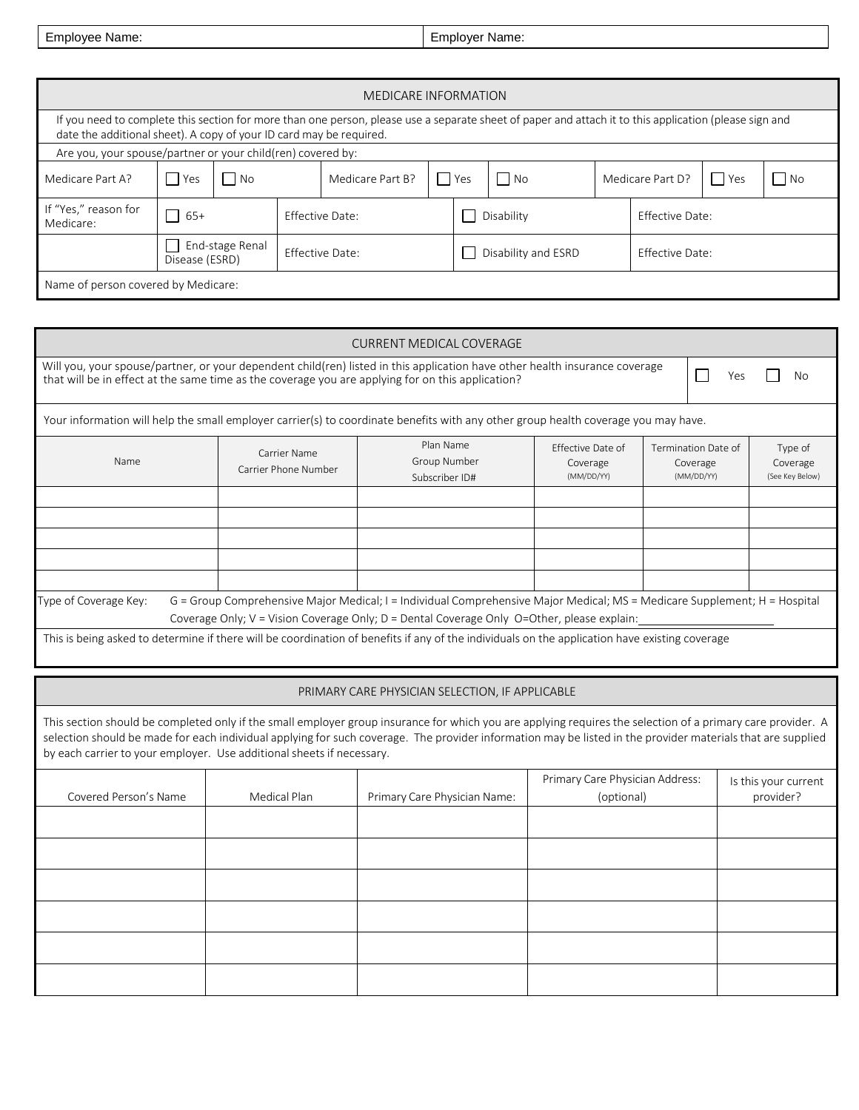| Employee Name: | Employer Name: |
|----------------|----------------|
|----------------|----------------|

|                                                                     |                                   |      |                 | <b>MEDICARE INFORMATION</b>                                                                                                                            |            |                     |                 |                        |                  |         |     |
|---------------------------------------------------------------------|-----------------------------------|------|-----------------|--------------------------------------------------------------------------------------------------------------------------------------------------------|------------|---------------------|-----------------|------------------------|------------------|---------|-----|
| date the additional sheet). A copy of your ID card may be required. |                                   |      |                 | If you need to complete this section for more than one person, please use a separate sheet of paper and attach it to this application (please sign and |            |                     |                 |                        |                  |         |     |
| Are you, your spouse/partner or your child(ren) covered by:         |                                   |      |                 |                                                                                                                                                        |            |                     |                 |                        |                  |         |     |
| Medicare Part A?                                                    | Yes                               | l No |                 | Medicare Part B?                                                                                                                                       |            | l Yes               | $\vert$ No      |                        | Medicare Part D? | $ $ Yes | No. |
| If "Yes," reason for<br>Medicare:                                   | $65+$                             |      | Effective Date: |                                                                                                                                                        | Disability |                     | Effective Date: |                        |                  |         |     |
|                                                                     | End-stage Renal<br>Disease (ESRD) |      |                 | Effective Date:                                                                                                                                        |            | Disability and ESRD |                 | <b>Effective Date:</b> |                  |         |     |
| Name of person covered by Medicare:                                 |                                   |      |                 |                                                                                                                                                        |            |                     |                 |                        |                  |         |     |

|                                                                       |                                      | <b>CURRENT MEDICAL COVERAGE</b>                                                                                                                                                                                                                                                                                            |                                               |                                               |     |                                        |
|-----------------------------------------------------------------------|--------------------------------------|----------------------------------------------------------------------------------------------------------------------------------------------------------------------------------------------------------------------------------------------------------------------------------------------------------------------------|-----------------------------------------------|-----------------------------------------------|-----|----------------------------------------|
|                                                                       |                                      | Will you, your spouse/partner, or your dependent child(ren) listed in this application have other health insurance coverage<br>that will be in effect at the same time as the coverage you are applying for on this application?                                                                                           |                                               |                                               | Yes | No                                     |
|                                                                       |                                      | Your information will help the small employer carrier(s) to coordinate benefits with any other group health coverage you may have.                                                                                                                                                                                         |                                               |                                               |     |                                        |
| Name                                                                  | Carrier Name<br>Carrier Phone Number | Plan Name<br>Group Number<br>Subscriber ID#                                                                                                                                                                                                                                                                                | Effective Date of<br>Coverage<br>(MM/DD/YY)   | Termination Date of<br>Coverage<br>(MM/DD/YY) |     | Type of<br>Coverage<br>(See Key Below) |
|                                                                       |                                      |                                                                                                                                                                                                                                                                                                                            |                                               |                                               |     |                                        |
|                                                                       |                                      |                                                                                                                                                                                                                                                                                                                            |                                               |                                               |     |                                        |
|                                                                       |                                      |                                                                                                                                                                                                                                                                                                                            |                                               |                                               |     |                                        |
| Type of Coverage Key:                                                 |                                      | G = Group Comprehensive Major Medical; I = Individual Comprehensive Major Medical; MS = Medicare Supplement; H = Hospital                                                                                                                                                                                                  |                                               |                                               |     |                                        |
|                                                                       |                                      | Coverage Only; V = Vision Coverage Only; D = Dental Coverage Only O=Other, please explain:                                                                                                                                                                                                                                 |                                               |                                               |     |                                        |
|                                                                       |                                      | This is being asked to determine if there will be coordination of benefits if any of the individuals on the application have existing coverage                                                                                                                                                                             |                                               |                                               |     |                                        |
|                                                                       |                                      |                                                                                                                                                                                                                                                                                                                            |                                               |                                               |     |                                        |
|                                                                       |                                      | PRIMARY CARE PHYSICIAN SELECTION, IF APPLICABLE                                                                                                                                                                                                                                                                            |                                               |                                               |     |                                        |
| by each carrier to your employer. Use additional sheets if necessary. |                                      | This section should be completed only if the small employer group insurance for which you are applying requires the selection of a primary care provider. A<br>selection should be made for each individual applying for such coverage. The provider information may be listed in the provider materials that are supplied |                                               |                                               |     |                                        |
| Covered Person's Name                                                 | Medical Plan                         | Primary Care Physician Name:                                                                                                                                                                                                                                                                                               | Primary Care Physician Address:<br>(optional) |                                               |     | Is this your current<br>provider?      |
|                                                                       |                                      |                                                                                                                                                                                                                                                                                                                            |                                               |                                               |     |                                        |
|                                                                       |                                      |                                                                                                                                                                                                                                                                                                                            |                                               |                                               |     |                                        |
|                                                                       |                                      |                                                                                                                                                                                                                                                                                                                            |                                               |                                               |     |                                        |
|                                                                       |                                      |                                                                                                                                                                                                                                                                                                                            |                                               |                                               |     |                                        |
|                                                                       |                                      |                                                                                                                                                                                                                                                                                                                            |                                               |                                               |     |                                        |